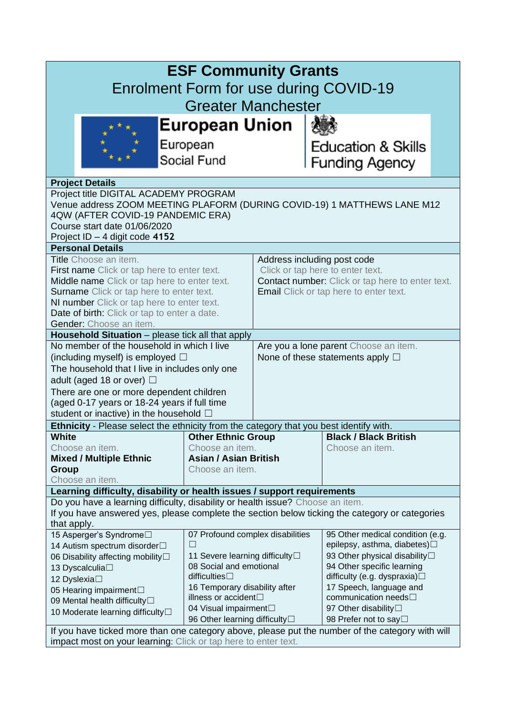| <b>ESF Community Grants</b><br>Enrolment Form for use during COVID-19<br><b>Greater Manchester</b> |                                                           |                                                                 |                                                                            |  |
|----------------------------------------------------------------------------------------------------|-----------------------------------------------------------|-----------------------------------------------------------------|----------------------------------------------------------------------------|--|
| European Union                                                                                     |                                                           |                                                                 |                                                                            |  |
| European                                                                                           |                                                           |                                                                 |                                                                            |  |
|                                                                                                    |                                                           |                                                                 | <b>Education &amp; Skills</b>                                              |  |
|                                                                                                    | Social Fund                                               |                                                                 | <b>Funding Agency</b>                                                      |  |
| <b>Project Details</b>                                                                             |                                                           |                                                                 |                                                                            |  |
| Project title DIGITAL ACADEMY PROGRAM                                                              |                                                           |                                                                 |                                                                            |  |
| Venue address ZOOM MEETING PLAFORM (DURING COVID-19) 1 MATTHEWS LANE M12                           |                                                           |                                                                 |                                                                            |  |
| 4QW (AFTER COVID-19 PANDEMIC ERA)                                                                  |                                                           |                                                                 |                                                                            |  |
| Course start date 01/06/2020                                                                       |                                                           |                                                                 |                                                                            |  |
| Project ID - 4 digit code 4152                                                                     |                                                           |                                                                 |                                                                            |  |
| <b>Personal Details</b>                                                                            |                                                           |                                                                 |                                                                            |  |
| <b>Title</b> Choose an item.                                                                       |                                                           | Address including post code<br>Click or tap here to enter text. |                                                                            |  |
| First name Click or tap here to enter text.<br>Middle name Click or tap here to enter text.        |                                                           | <b>Contact number:</b> Click or tap here to enter text.         |                                                                            |  |
| Surname Click or tap here to enter text.                                                           |                                                           | <b>Email</b> Click or tap here to enter text.                   |                                                                            |  |
| NI number Click or tap here to enter text.                                                         |                                                           |                                                                 |                                                                            |  |
| Date of birth: Click or tap to enter a date.                                                       |                                                           |                                                                 |                                                                            |  |
| Gender: Choose an item.                                                                            |                                                           |                                                                 |                                                                            |  |
| Household Situation - please tick all that apply                                                   |                                                           |                                                                 |                                                                            |  |
| No member of the household in which I live                                                         |                                                           | Are you a lone parent Choose an item.                           |                                                                            |  |
| (including myself) is employed $\square$                                                           |                                                           | None of these statements apply $\square$                        |                                                                            |  |
| The household that I live in includes only one                                                     |                                                           |                                                                 |                                                                            |  |
| adult (aged 18 or over) $\Box$                                                                     |                                                           |                                                                 |                                                                            |  |
| There are one or more dependent children                                                           |                                                           |                                                                 |                                                                            |  |
| (aged 0-17 years or 18-24 years if full time                                                       |                                                           |                                                                 |                                                                            |  |
| student or inactive) in the household $\Box$                                                       |                                                           |                                                                 |                                                                            |  |
| Ethnicity - Please select the ethnicity from the category that you best identify with.             |                                                           |                                                                 |                                                                            |  |
| <b>White</b><br>Choose an item.                                                                    | <b>Other Ethnic Group</b><br>Choose an item.              |                                                                 | <b>Black / Black British</b><br>Choose an item.                            |  |
| <b>Mixed / Multiple Ethnic</b>                                                                     | <b>Asian / Asian British</b>                              |                                                                 |                                                                            |  |
| Group                                                                                              | Choose an item.                                           |                                                                 |                                                                            |  |
| Choose an item.                                                                                    |                                                           |                                                                 |                                                                            |  |
| Learning difficulty, disability or health issues / support requirements                            |                                                           |                                                                 |                                                                            |  |
| Do you have a learning difficulty, disability or health issue? Choose an item.                     |                                                           |                                                                 |                                                                            |  |
| If you have answered yes, please complete the section below ticking the category or categories     |                                                           |                                                                 |                                                                            |  |
| that apply.                                                                                        |                                                           |                                                                 |                                                                            |  |
| 15 Asperger's Syndrome□                                                                            | 07 Profound complex disabilities                          |                                                                 | 95 Other medical condition (e.g.                                           |  |
| 14 Autism spectrum disorder <sup>[1]</sup>                                                         | $\vert \ \ \vert$                                         |                                                                 | epilepsy, asthma, diabetes)□<br>93 Other physical disability <sup>[]</sup> |  |
| 06 Disability affecting mobility□                                                                  | 11 Severe learning difficulty□<br>08 Social and emotional |                                                                 | 94 Other specific learning                                                 |  |
| 13 Dyscalculia□<br>12 Dyslexia□                                                                    | difficulties $\Box$                                       |                                                                 | difficulty (e.g. dyspraxia)□                                               |  |
| 05 Hearing impairment                                                                              | 16 Temporary disability after                             |                                                                 | 17 Speech, language and                                                    |  |
| 09 Mental health difficulty□                                                                       | illness or accident <sup>[]</sup>                         |                                                                 | communication needs□                                                       |  |
| 04 Visual impairment<br>10 Moderate learning difficulty                                            |                                                           |                                                                 | 97 Other disability                                                        |  |
| 96 Other learning difficulty <sup>[]</sup>                                                         |                                                           |                                                                 | 98 Prefer not to say□                                                      |  |
| If you have ticked more than one category above, please put the number of the category with will   |                                                           |                                                                 |                                                                            |  |
| impact most on your learning: Click or tap here to enter text.                                     |                                                           |                                                                 |                                                                            |  |